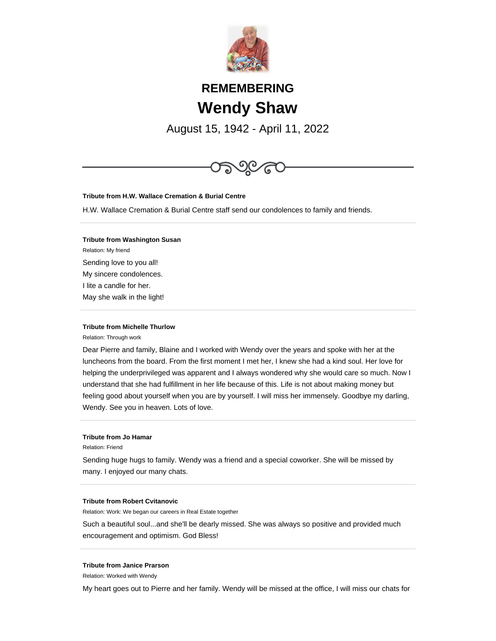

# **REMEMBERING Wendy Shaw**

August 15, 1942 - April 11, 2022



#### **Tribute from Michelle Thurlow**

Relation: Through work

Dear Pierre and family, Blaine and I worked with Wendy over the years and spoke with her at the luncheons from the board. From the first moment I met her, I knew she had a kind soul. Her love for helping the underprivileged was apparent and I always wondered why she would care so much. Now I understand that she had fulfillment in her life because of this. Life is not about making money but feeling good about yourself when you are by yourself. I will miss her immensely. Goodbye my darling, Wendy. See you in heaven. Lots of love.

# **Tribute from Jo Hamar**

Relation: Friend

Sending huge hugs to family. Wendy was a friend and a special coworker. She will be missed by many. I enjoyed our many chats.

#### **Tribute from Robert Cvitanovic**

Relation: Work: We began our careers in Real Estate together

Such a beautiful soul...and she'll be dearly missed. She was always so positive and provided much encouragement and optimism. God Bless!

### **Tribute from Janice Prarson**

Relation: Worked with Wendy

My heart goes out to Pierre and her family. Wendy will be missed at the office, I will miss our chats for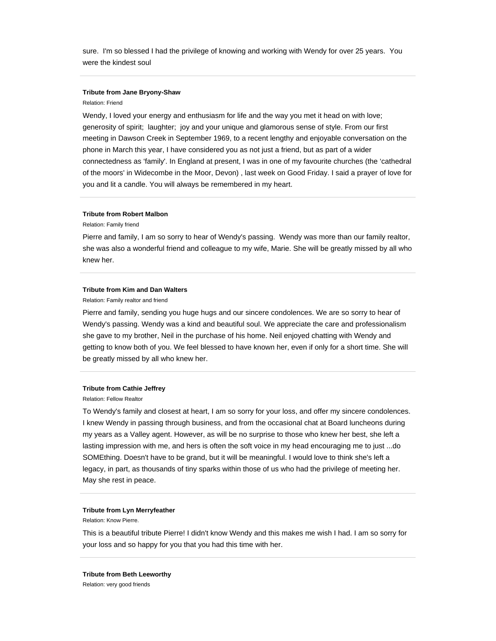sure. I'm so blessed I had the privilege of knowing and working with Wendy for over 25 years. You were the kindest soul

# **Tribute from Jane Bryony-Shaw**

#### Relation: Friend

Wendy, I loved your energy and enthusiasm for life and the way you met it head on with love; generosity of spirit; laughter; joy and your unique and glamorous sense of style. From our first meeting in Dawson Creek in September 1969, to a recent lengthy and enjoyable conversation on the phone in March this year, I have considered you as not just a friend, but as part of a wider connectedness as 'family'. In England at present, I was in one of my favourite churches (the 'cathedral of the moors' in Widecombe in the Moor, Devon) , last week on Good Friday. I said a prayer of love for you and lit a candle. You will always be remembered in my heart.

### **Tribute from Robert Malbon**

Relation: Family friend

Pierre and family, I am so sorry to hear of Wendy's passing. Wendy was more than our family realtor, she was also a wonderful friend and colleague to my wife, Marie. She will be greatly missed by all who knew her.

# **Tribute from Kim and Dan Walters**

Relation: Family realtor and friend

Pierre and family, sending you huge hugs and our sincere condolences. We are so sorry to hear of Wendy's passing. Wendy was a kind and beautiful soul. We appreciate the care and professionalism she gave to my brother, Neil in the purchase of his home. Neil enjoyed chatting with Wendy and getting to know both of you. We feel blessed to have known her, even if only for a short time. She will be greatly missed by all who knew her.

#### **Tribute from Cathie Jeffrey**

Relation: Fellow Realtor

To Wendy's family and closest at heart, I am so sorry for your loss, and offer my sincere condolences. I knew Wendy in passing through business, and from the occasional chat at Board luncheons during my years as a Valley agent. However, as will be no surprise to those who knew her best, she left a lasting impression with me, and hers is often the soft voice in my head encouraging me to just ...do SOMEthing. Doesn't have to be grand, but it will be meaningful. I would love to think she's left a legacy, in part, as thousands of tiny sparks within those of us who had the privilege of meeting her. May she rest in peace.

#### **Tribute from Lyn Merryfeather**

Relation: Know Pierre.

This is a beautiful tribute Pierre! I didn't know Wendy and this makes me wish I had. I am so sorry for your loss and so happy for you that you had this time with her.

**Tribute from Beth Leeworthy** Relation: very good friends